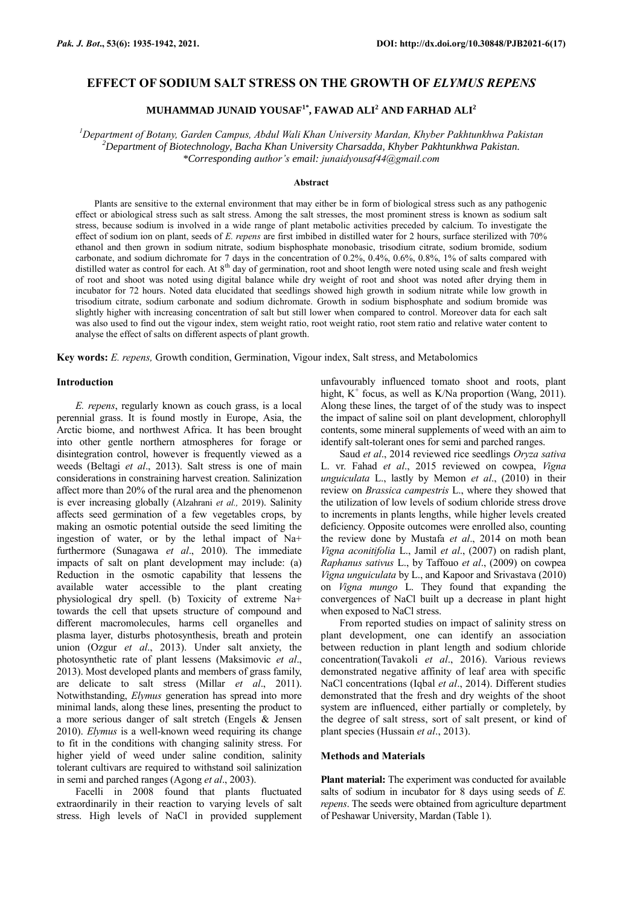## **EFFECT OF SODIUM SALT STRESS ON THE GROWTH OF** *ELYMUS REPENS*

# **MUHAMMAD JUNAID YOUSAF1\* , FAWAD ALI<sup>2</sup> AND FARHAD ALI<sup>2</sup>**

*<sup>1</sup>Department of Botany, Garden Campus, Abdul Wali Khan University Mardan, Khyber Pakhtunkhwa Pakistan <sup>2</sup>Department of Biotechnology, Bacha Khan University Charsadda, Khyber Pakhtunkhwa Pakistan. \*Corresponding author's email: junaidyousaf44@gmail.com*

#### **Abstract**

Plants are sensitive to the external environment that may either be in form of biological stress such as any pathogenic effect or abiological stress such as salt stress. Among the salt stresses, the most prominent stress is known as sodium salt stress, because sodium is involved in a wide range of plant metabolic activities preceded by calcium. To investigate the effect of sodium ion on plant, seeds of *E. repens* are first imbibed in distilled water for 2 hours, surface sterilized with 70% ethanol and then grown in sodium nitrate, sodium bisphosphate monobasic, trisodium citrate, sodium bromide, sodium carbonate, and sodium dichromate for 7 days in the concentration of 0.2%, 0.4%, 0.6%, 0.8%, 1% of salts compared with distilled water as control for each. At 8<sup>th</sup> day of germination, root and shoot length were noted using scale and fresh weight of root and shoot was noted using digital balance while dry weight of root and shoot was noted after drying them in incubator for 72 hours. Noted data elucidated that seedlings showed high growth in sodium nitrate while low growth in trisodium citrate, sodium carbonate and sodium dichromate. Growth in sodium bisphosphate and sodium bromide was slightly higher with increasing concentration of salt but still lower when compared to control. Moreover data for each salt was also used to find out the vigour index, stem weight ratio, root weight ratio, root stem ratio and relative water content to analyse the effect of salts on different aspects of plant growth.

**Key words:** *E. repens,* Growth condition, Germination, Vigour index, Salt stress, and Metabolomics

## **Introduction**

*E. repens*, regularly known as couch grass, is a local perennial grass. It is found mostly in Europe, Asia, the Arctic biome, and northwest Africa. It has been brought into other gentle northern atmospheres for forage or disintegration control, however is frequently viewed as a weeds (Beltagi *et al*., 2013). Salt stress is one of main considerations in constraining harvest creation. Salinization affect more than 20% of the rural area and the phenomenon is ever increasing globally (Alzahrani *et al.,* 2019). Salinity affects seed germination of a few vegetables crops, by making an osmotic potential outside the seed limiting the ingestion of water, or by the lethal impact of Na+ furthermore (Sunagawa *et al*., 2010). The immediate impacts of salt on plant development may include: (a) Reduction in the osmotic capability that lessens the available water accessible to the plant creating physiological dry spell. (b) Toxicity of extreme Na+ towards the cell that upsets structure of compound and different macromolecules, harms cell organelles and plasma layer, disturbs photosynthesis, breath and protein union (Ozgur *et al*., 2013). Under salt anxiety, the photosynthetic rate of plant lessens (Maksimovic *et al*., 2013). Most developed plants and members of grass family, are delicate to salt stress (Millar *et al*., 2011). Notwithstanding, *Elymus* generation has spread into more minimal lands, along these lines, presenting the product to a more serious danger of salt stretch (Engels & Jensen 2010). *Elymus* is a well-known weed requiring its change to fit in the conditions with changing salinity stress. For higher yield of weed under saline condition, salinity tolerant cultivars are required to withstand soil salinization in semi and parched ranges (Agong *et al*., 2003).

Facelli in 2008 found that plants fluctuated extraordinarily in their reaction to varying levels of salt stress. High levels of NaCl in provided supplement unfavourably influenced tomato shoot and roots, plant hight,  $K^+$  focus, as well as  $K/Na$  proportion (Wang, 2011). Along these lines, the target of of the study was to inspect the impact of saline soil on plant development, chlorophyll contents, some mineral supplements of weed with an aim to identify salt-tolerant ones for semi and parched ranges.

Saud *et al*., 2014 reviewed rice seedlings *Oryza sativa* L. vr. Fahad *et al*., 2015 reviewed on cowpea, *Vigna unguiculata* L., lastly by Memon *et al*., (2010) in their review on *Brassica campestris* L., where they showed that the utilization of low levels of sodium chloride stress drove to increments in plants lengths, while higher levels created deficiency. Opposite outcomes were enrolled also, counting the review done by Mustafa *et al*., 2014 on moth bean *Vigna aconitifolia* L., Jamil *et al*., (2007) on radish plant, *Raphanus sativus* L., by Taffouo *et al*., (2009) on cowpea *Vigna unguiculata* by L., and Kapoor and Srivastava (2010) on *Vigna mungo* L. They found that expanding the convergences of NaCl built up a decrease in plant hight when exposed to NaCl stress.

From reported studies on impact of salinity stress on plant development, one can identify an association between reduction in plant length and sodium chloride concentration(Tavakoli *et al*., 2016). Various reviews demonstrated negative affinity of leaf area with specific NaCl concentrations (Iqbal *et al*., 2014). Different studies demonstrated that the fresh and dry weights of the shoot system are influenced, either partially or completely, by the degree of salt stress, sort of salt present, or kind of plant species (Hussain *et al*., 2013).

### **Methods and Materials**

**Plant material:** The experiment was conducted for available salts of sodium in incubator for 8 days using seeds of *E. repens*. The seeds were obtained from agriculture department of Peshawar University, Mardan (Table 1).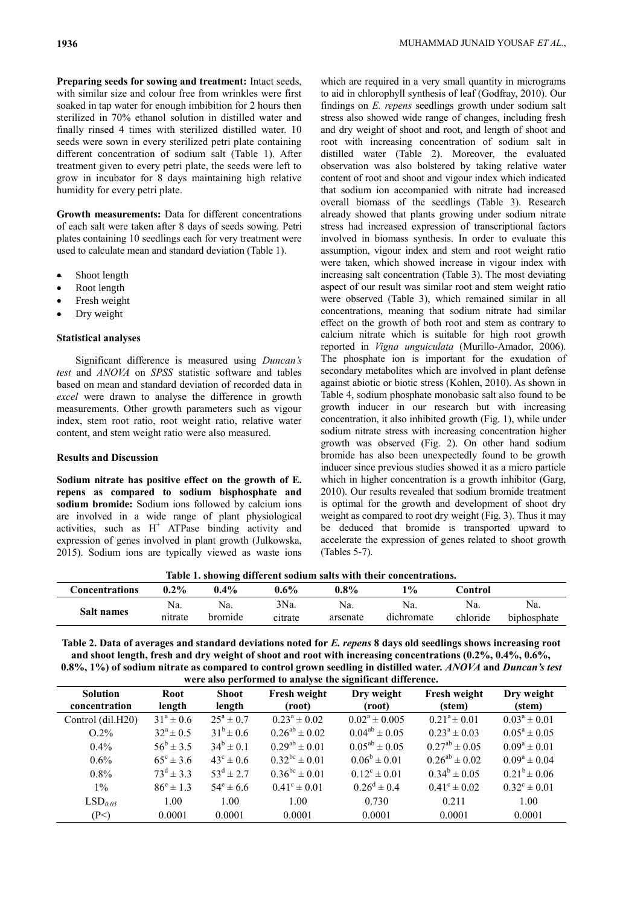**Preparing seeds for sowing and treatment:** Intact seeds, with similar size and colour free from wrinkles were first soaked in tap water for enough imbibition for 2 hours then sterilized in 70% ethanol solution in distilled water and finally rinsed 4 times with sterilized distilled water. 10 seeds were sown in every sterilized petri plate containing different concentration of sodium salt (Table 1). After treatment given to every petri plate, the seeds were left to grow in incubator for 8 days maintaining high relative humidity for every petri plate.

**Growth measurements:** Data for different concentrations of each salt were taken after 8 days of seeds sowing. Petri plates containing 10 seedlings each for very treatment were used to calculate mean and standard deviation (Table 1).

- Shoot length
- Root length
- Fresh weight
- Dry weight

#### **Statistical analyses**

Significant difference is measured using *Duncan's test* and *ANOVA* on *SPSS* statistic software and tables based on mean and standard deviation of recorded data in *excel* were drawn to analyse the difference in growth measurements. Other growth parameters such as vigour index, stem root ratio, root weight ratio, relative water content, and stem weight ratio were also measured.

### **Results and Discussion**

**Sodium nitrate has positive effect on the growth of E. repens as compared to sodium bisphosphate and sodium bromide:** Sodium ions followed by calcium ions are involved in a wide range of plant physiological activities, such as  $H^+$  ATPase binding activity and expression of genes involved in plant growth (Julkowska, 2015). Sodium ions are typically viewed as waste ions which are required in a very small quantity in micrograms to aid in chlorophyll synthesis of leaf (Godfray, 2010). Our findings on *E. repens* seedlings growth under sodium salt stress also showed wide range of changes, including fresh and dry weight of shoot and root, and length of shoot and root with increasing concentration of sodium salt in distilled water (Table 2). Moreover, the evaluated observation was also bolstered by taking relative water content of root and shoot and vigour index which indicated that sodium ion accompanied with nitrate had increased overall biomass of the seedlings (Table 3). Research already showed that plants growing under sodium nitrate stress had increased expression of transcriptional factors involved in biomass synthesis. In order to evaluate this assumption, vigour index and stem and root weight ratio were taken, which showed increase in vigour index with increasing salt concentration (Table 3). The most deviating aspect of our result was similar root and stem weight ratio were observed (Table 3), which remained similar in all concentrations, meaning that sodium nitrate had similar effect on the growth of both root and stem as contrary to calcium nitrate which is suitable for high root growth reported in *Vigna unguiculata* (Murillo-Amador, 2006). The phosphate ion is important for the exudation of secondary metabolites which are involved in plant defense against abiotic or biotic stress (Kohlen, 2010). As shown in Table 4, sodium phosphate monobasic salt also found to be growth inducer in our research but with increasing concentration, it also inhibited growth (Fig. 1), while under sodium nitrate stress with increasing concentration higher growth was observed (Fig. 2). On other hand sodium bromide has also been unexpectedly found to be growth inducer since previous studies showed it as a micro particle which in higher concentration is a growth inhibitor (Garg, 2010). Our results revealed that sodium bromide treatment is optimal for the growth and development of shoot dry weight as compared to root dry weight (Fig. 3). Thus it may be deduced that bromide is transported upward to accelerate the expression of genes related to shoot growth (Tables 5-7).

**Table 1. showing different sodium salts with their concentrations.**

|                   |                |                |                 |                 | TROID IT SHOWING MILLI CHE SOMERIN SHEED WEEK THEIR CONCERNENTIONS. |                 |                    |
|-------------------|----------------|----------------|-----------------|-----------------|---------------------------------------------------------------------|-----------------|--------------------|
| Concentrations    | $0.2\%$        | $0.4\%$        | $0.6\%$         | $0.8\%$         | $\frac{10}{6}$                                                      | Control         |                    |
| <b>Salt names</b> | Na.<br>nitrate | Na.<br>bromide | 3Na.<br>citrate | Na.<br>arsenate | Na.<br>dichromate                                                   | Na.<br>chloride | Na.<br>biphosphate |

| Table 2. Data of averages and standard deviations noted for E. repens 8 days old seedlings shows increasing root |
|------------------------------------------------------------------------------------------------------------------|
| and shoot length, fresh and dry weight of shoot and root with increasing concentrations $(0.2\%, 0.4\%, 0.6\%,$  |
| 0.8%, 1%) of sodium nitrate as compared to control grown seedling in distilled water. ANOVA and Duncan's test    |
| were also nerformed to analyse the significant difference                                                        |

|                                  |                      |                        | were also performed to amaryor the significant uniterestic |                         |                         |                         |
|----------------------------------|----------------------|------------------------|------------------------------------------------------------|-------------------------|-------------------------|-------------------------|
| <b>Solution</b><br>concentration | Root<br>length       | <b>Shoot</b><br>length | Fresh weight<br>(root)                                     | Dry weight<br>(root)    | Fresh weight<br>(stem)  | Dry weight<br>(stem)    |
| Control (dil.H20)                | $31^{\circ} \pm 0.6$ | $25^{\rm a} \pm 0.7$   | $0.23^a \pm 0.02$                                          | $0.02^a \pm 0.005$      | $0.21^a \pm 0.01$       | $0.03^a \pm 0.01$       |
| $O.2\%$                          | $32^{\circ} \pm 0.5$ | $31^b \pm 0.6$         | $0.26^{ab} \pm 0.02$                                       | $0.04^{ab} \pm 0.05$    | $0.23^a \pm 0.03$       | $0.05^a \pm 0.05$       |
| $0.4\%$                          | $56^{\rm b} \pm 3.5$ | $34^b \pm 0.1$         | $0.29^{ab} \pm 0.01$                                       | $0.05^{ab} \pm 0.05$    | $0.27^{ab} \pm 0.05$    | $0.09^a \pm 0.01$       |
| $0.6\%$                          | $65^{\circ} \pm 3.6$ | $43^{\circ} \pm 0.6$   | $0.32^{bc} \pm 0.01$                                       | $0.06^b \pm 0.01$       | $0.26^{ab} \pm 0.02$    | $0.09^a \pm 0.04$       |
| $0.8\%$                          | $73^d \pm 3.3$       | $53^d \pm 2.7$         | $0.36^{bc} \pm 0.01$                                       | $0.12^{\circ} \pm 0.01$ | $0.34^b \pm 0.05$       | $0.21^b \pm 0.06$       |
| $1\%$                            | $86^{\circ} \pm 1.3$ | $54^{\circ} \pm 6.6$   | $0.41^{\circ} \pm 0.01$                                    | $0.26^d \pm 0.4$        | $0.41^{\circ} \pm 0.02$ | $0.32^{\circ} \pm 0.01$ |
| LSD <sub>0.05</sub>              | 1.00                 | 1.00                   | 1.00                                                       | 0.730                   | 0.211                   | 1.00                    |
| (P<)                             | 0.0001               | 0.0001                 | 0.0001                                                     | 0.0001                  | 0.0001                  | 0.0001                  |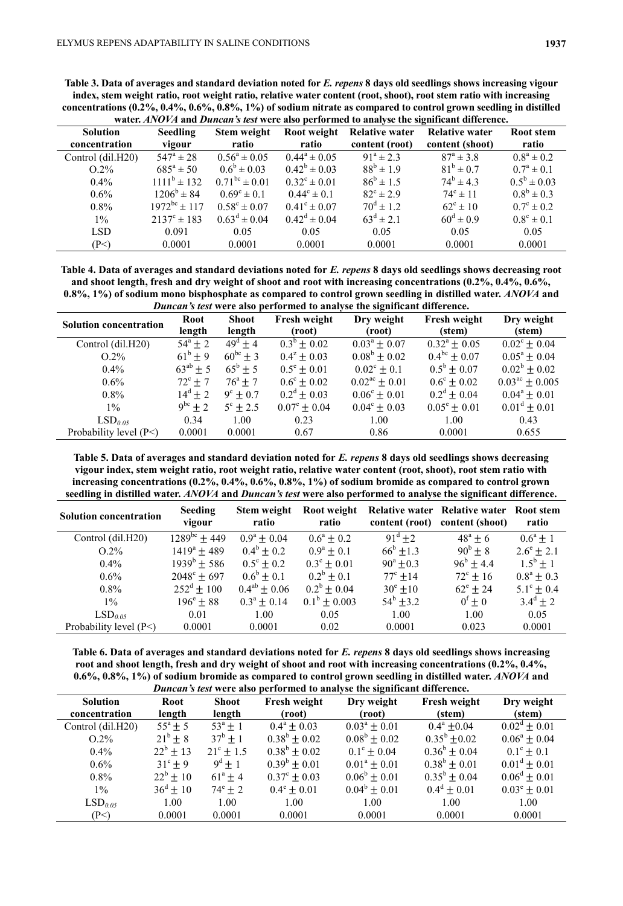**Table 3. Data of averages and standard deviation noted for** *E. repens* **8 days old seedlings shows increasing vigour index, stem weight ratio, root weight ratio, relative water content (root, shoot), root stem ratio with increasing concentrations (0.2%, 0.4%, 0.6%, 0.8%, 1%) of sodium nitrate as compared to control grown seedling in distilled** 

|                   |                              |                         |                         |                       | water. ANOVA and Duncan's test were also performed to analyse the significant difference. |                       |
|-------------------|------------------------------|-------------------------|-------------------------|-----------------------|-------------------------------------------------------------------------------------------|-----------------------|
| <b>Solution</b>   | <b>Seedling</b>              | Stem weight             | Root weight             | <b>Relative water</b> | <b>Relative water</b>                                                                     | Root stem             |
| concentration     | vigour                       | ratio                   | ratio                   | content (root)        | content (shoot)                                                                           | ratio                 |
| Control (dil.H20) | $547^{\rm a} \pm 28$         | $0.56^a \pm 0.05$       | $0.44^a \pm 0.05$       | $91^a \pm 2.3$        | $87^{\rm a} \pm 3.8$                                                                      | $0.8^a \pm 0.2$       |
| $O.2\%$           | $685^{\rm a} \pm 50^{\rm b}$ | $0.6^{\rm b} \pm 0.03$  | $0.42^b \pm 0.03$       | $88^{b} \pm 1.9$      | $81^b \pm 0.7$                                                                            | $0.7^{\rm a} \pm 0.1$ |
| $0.4\%$           | $1111^b \pm 132$             | $0.71^{bc} \pm 0.01$    | $0.32^{\circ} \pm 0.01$ | $86^b \pm 1.5$        | $74^b \pm 4.3$                                                                            | $0.5^b \pm 0.03$      |
| $0.6\%$           | $1206^b \pm 84$              | $0.69^{\circ} \pm 0.1$  | $0.44^{\circ} \pm 0.1$  | $82^{\circ} \pm 2.9$  | $74^{\circ} \pm 11$                                                                       | $0.8^b \pm 0.3$       |
| $0.8\%$           | $1972^{bc} \pm 117$          | $0.58^{\circ} \pm 0.07$ | $0.41^{\circ} \pm 0.07$ | $70^{\rm d} \pm 1.2$  | $62^{\circ} \pm 10$                                                                       | $0.7^{\circ} \pm 0.2$ |
| $1\%$             | $2137^{\circ} \pm 183$       | $0.63^d \pm 0.04$       | $0.42^d \pm 0.04$       | $63^d \pm 2.1$        | $60^{\rm d} \pm 0.9$                                                                      | $0.8^{\circ} \pm 0.1$ |
| <b>LSD</b>        | 0.091                        | 0.05                    | 0.05                    | 0.05                  | 0.05                                                                                      | 0.05                  |
| (P<)              | 0.0001                       | 0.0001                  | 0.0001                  | 0.0001                | 0.0001                                                                                    | 0.0001                |

**Table 4. Data of averages and standard deviations noted for** *E. repens* **8 days old seedlings shows decreasing root and shoot length, fresh and dry weight of shoot and root with increasing concentrations (0.2%, 0.4%, 0.6%, 0.8%, 1%) of sodium mono bisphosphate as compared to control grown seedling in distilled water.** *ANOVA* **and** 

|                               |                  |                        | Duncan's test were also performed to analyse the significant difference. |                             |                         |                              |
|-------------------------------|------------------|------------------------|--------------------------------------------------------------------------|-----------------------------|-------------------------|------------------------------|
| <b>Solution concentration</b> | Root<br>length   | <b>Shoot</b><br>length | Fresh weight<br>(root)                                                   | Dry weight<br>(root)        | Fresh weight<br>(stem)  | Dry weight<br>(stem)         |
| Control (dil.H20)             | $54^{\circ}$ + 2 | $49^{\circ} \pm 4$     | $0.3^{\circ} \pm 0.02$                                                   | $0.03^{\circ} \pm 0.07$     | $0.32^{\rm a} \pm 0.05$ | $0.02^{\circ} \pm 0.04$      |
| $O.2\%$                       | $61^{\circ} + 9$ | $60^{bc} \pm 3$        | $0.4^z \pm 0.03$                                                         | $0.08^b \pm 0.02$           | $0.4^{bc} \pm 0.07$     | $0.05^{\circ} \pm 0.04$      |
| $0.4\%$                       | $63^{ab} \pm 5$  | $65^{\rm b} \pm 5$     | $0.5^{\circ} \pm 0.01$                                                   | $0.02^{\circ} \pm 0.1$      | $0.5^{\rm b} \pm 0.07$  | $0.02^b \pm 0.02$            |
| $0.6\%$                       | $72^{\circ}$ + 7 | $76^{\circ} \pm 7$     | $0.6^{\circ} \pm 0.02$                                                   | $0.02^{\text{ac}} \pm 0.01$ | $0.6^{\circ} \pm 0.02$  | $0.03^{\text{ac}} \pm 0.005$ |
| $0.8\%$                       | $14^d \pm 2$     | $9^{\circ} \pm 0.7$    | $0.2^d \pm 0.03$                                                         | $0.06^{\circ} \pm 0.01$     | $0.2^d \pm 0.04$        | $0.04^a \pm 0.01$            |
| $1\%$                         | $9^{bc} \pm 2$   | $5^{\circ} \pm 2.5$    | $0.07^{\circ} \pm 0.04$                                                  | $0.04^{\circ} \pm 0.03$     | $0.05^{\circ} \pm 0.01$ | $0.01^d \pm 0.01$            |
| LSD <sub>0.05</sub>           | 0.34             | 1.00                   | 0.23                                                                     | 1.00                        | 1.00                    | 0.43                         |
| Probability level (P<)        | 0.0001           | 0.0001                 | 0.67                                                                     | 0.86                        | 0.0001                  | 0.655                        |

**Table 5. Data of averages and standard deviation noted for** *E. repens* **8 days old seedlings shows decreasing vigour index, stem weight ratio, root weight ratio, relative water content (root, shoot), root stem ratio with increasing concentrations (0.2%, 0.4%, 0.6%, 0.8%, 1%) of sodium bromide as compared to control grown seedling in distilled water.** *ANOVA* **and** *Duncan's test* **were also performed to analyse the significant difference.**

| <b>Solution concentration</b> | <b>Seeding</b><br>vigour | Stem weight<br>ratio   | Root weight<br>ratio    | content (root)         | <b>Relative water Relative water Root stem</b><br>content (shoot) | ratio                 |
|-------------------------------|--------------------------|------------------------|-------------------------|------------------------|-------------------------------------------------------------------|-----------------------|
| Control (dil.H20)             | $1289^{bc}$ ± 449        | $0.9^{\rm a} \pm 0.04$ | $0.6^a + 0.2$           | $91^{\circ}$ +2        | $48^{\circ} \pm 6$                                                | $0.6^{\circ} \pm 1$   |
| $O.2\%$                       | $1419^a \pm 489$         | $0.4^{\rm b} \pm 0.2$  | $0.9^{\rm a} \pm 0.1$   | $66^{\rm b}$ ± 1.3     | $90^{b} \pm 8$                                                    | $2.6^{\circ} \pm 2.1$ |
| $0.4\%$                       | $1939^b \pm 586$         | $0.5^{\circ} \pm 0.2$  | $0.3^{\circ} \pm 0.01$  | $90^{\circ}$ +0.3      | $96^{\rm b} \pm 4.4$                                              | $1.5^{\rm b} \pm 1$   |
| $0.6\%$                       | $2048^{\circ}$ ± 697     | $0.6^{\rm b} \pm 0.1$  | $0.2^b + 0.1$           | $77^{\circ}$ + 14      | $72^{\circ}$ ± 16                                                 | $0.8^{\rm a} \pm 0.3$ |
| $0.8\%$                       | $252^{\text{d}} \pm 100$ | $0.4^{ab} \pm 0.06$    | $0.2^b \pm 0.04$        | $30^{\circ}$ + 10      | $62^{\circ}$ + 24                                                 | $5.1^{\circ} \pm 0.4$ |
| $1\%$                         | $196^{\circ} \pm 88$     | $0.3^a \pm 0.14$       | $0.1^{\rm b} \pm 0.003$ | $54^{\rm b}$ $\pm$ 3.2 | $0^{\rm f} \pm 0$                                                 | $3.4^d \pm 2$         |
| LSD <sub>0.05</sub>           | 0.01                     | 1.00                   | 0.05                    | 1.00                   | 1.00                                                              | 0.05                  |
| Probability level $(P<)$      | 0.0001                   | 0.0001                 | 0.02                    | 0.0001                 | 0.023                                                             | 0.0001                |

**Table 6. Data of averages and standard deviations noted for** *E. repens* **8 days old seedlings shows increasing root and shoot length, fresh and dry weight of shoot and root with increasing concentrations (0.2%, 0.4%, 0.6%, 0.8%, 1%) of sodium bromide as compared to control grown seedling in distilled water.** *ANOVA* **and**  *Duncan's test* **were also performed to analyse the significant difference.**

|                                  |                     |                      | Duncan 3 icsi were also performed to analyse the significant unference. |                         |                         |                         |
|----------------------------------|---------------------|----------------------|-------------------------------------------------------------------------|-------------------------|-------------------------|-------------------------|
| <b>Solution</b><br>concentration | Root<br>length      | Shoot<br>length      | <b>Fresh weight</b><br>(root)                                           | Dry weight<br>(root)    | Fresh weight<br>(stem)  | Dry weight<br>(stem)    |
| Control (dil.H20)                | $55^{\circ} \pm 5$  | $53^{\circ} \pm 1$   | $0.4^{\circ} \pm 0.03$                                                  | $0.03^{\circ} \pm 0.01$ | $0.4^{\circ}$ + 0.04    | $0.02^d \pm 0.01$       |
| $O.2\%$                          | $21^{\rm b} \pm 8$  | $37^{\rm b} \pm 1$   | $0.38^b \pm 0.02$                                                       | $0.08^b \pm 0.02$       | $0.35^{\rm b}$ +0.02    | $0.06^a \pm 0.04$       |
| $0.4\%$                          | $22^b \pm 13$       | $21^{\circ} \pm 1.5$ | $0.38^b \pm 0.02$                                                       | $0.1^{\circ} \pm 0.04$  | $0.36^{\rm b} \pm 0.04$ | $0.1^{\circ} \pm 0.1$   |
| $0.6\%$                          | $31^{\circ} \pm 9$  | $9^d \pm 1$          | $0.39^{\rm b} \pm 0.01$                                                 | $0.01^a \pm 0.01$       | $0.38^b \pm 0.01$       | $0.01^d \pm 0.01$       |
| $0.8\%$                          | $22^b \pm 10$       | $61^{\circ} \pm 4$   | $0.37^{\circ} \pm 0.03$                                                 | $0.06^{\rm b} \pm 0.01$ | $0.35^{\rm b} \pm 0.04$ | $0.06^d \pm 0.01$       |
| $1\%$                            | $36^{\rm d} \pm 10$ | $74^{\circ}$ $\pm$ 2 | $0.4^{\circ} \pm 0.01$                                                  | $0.04^b \pm 0.01$       | $0.4^d \pm 0.01$        | $0.03^{\circ} \pm 0.01$ |
| LSD <sub>0.05</sub>              | 1.00                | 1.00                 | 1.00                                                                    | 1.00                    | 1.00                    | 1.00                    |
| (P<)                             | 0.0001              | 0.0001               | 0.0001                                                                  | 0.0001                  | 0.0001                  | 0.0001                  |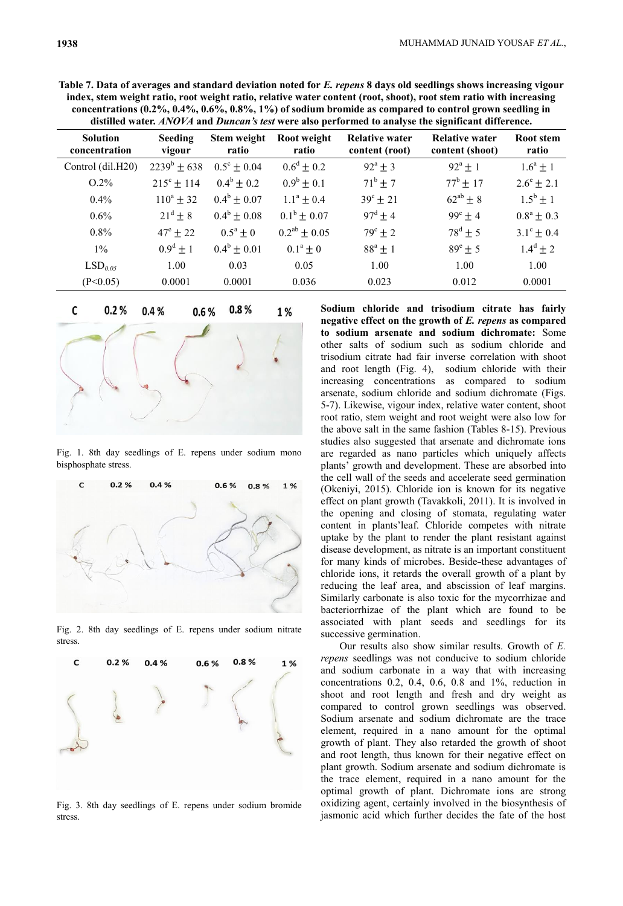|                                  |                          |                             |                        |                                         | CONCENTRATIONS (0.4 70, 0.4 70, 0.0 70, 0.0 70, 1 70) OF SOUTHILL DEVILIUE AS COMPATEU TO CONTEXT SECUMINE IN<br>distilled water. ANOVA and Duncan's test were also performed to analyse the significant difference. |                       |
|----------------------------------|--------------------------|-----------------------------|------------------------|-----------------------------------------|----------------------------------------------------------------------------------------------------------------------------------------------------------------------------------------------------------------------|-----------------------|
| <b>Solution</b><br>concentration | <b>Seeding</b><br>vigour | <b>Stem weight</b><br>ratio | Root weight<br>ratio   | <b>Relative water</b><br>content (root) | Relative water<br>content (shoot)                                                                                                                                                                                    | Root stem<br>ratio    |
| Control (dil.H20)                | $2239^b \pm 638$         | $0.5^{\circ} \pm 0.04$      | $0.6^d \pm 0.2$        | $92^{\circ} \pm 3$                      | $92^{\circ}$ ± 1                                                                                                                                                                                                     | $1.6^{\circ} \pm 1$   |
| $O.2\%$                          | $215^{\circ} \pm 114$    | $0.4^{\rm b} \pm 0.2$       | $0.9^{\rm b} \pm 0.1$  | $71^{\rm b} \pm 7$                      | $77^{\rm b}$ + 17                                                                                                                                                                                                    | $2.6^{\circ} \pm 2.1$ |
| $0.4\%$                          | $110^a \pm 32$           | $0.4^{\rm b} \pm 0.07$      | $1.1^a \pm 0.4$        | $39^{\circ} \pm 21$                     | $62^{ab}$ + 8                                                                                                                                                                                                        | $1.5^{\rm b} \pm 1$   |
| $0.6\%$                          | $21^d \pm 8$             | $0.4^{\rm b} \pm 0.08$      | $0.1^{\rm b} \pm 0.07$ | $97^{\rm d} \pm 4$                      | $99^{\circ} \pm 4$                                                                                                                                                                                                   | $0.8^{\rm a} \pm 0.3$ |
| $0.8\%$                          | $47^{\circ} \pm 22$      | $0.5^{\rm a} \pm 0$         | $0.2^{ab} \pm 0.05$    | $79^{\circ} \pm 2$                      | $78^{\rm d} \pm 5$                                                                                                                                                                                                   | $3.1^{\circ} \pm 0.4$ |
| $1\%$                            | $0.9^d \pm 1$            | $0.4^b \pm 0.01$            | $0.1^{\rm a} \pm 0$    | $88^a \pm 1$                            | $89^e \pm 5$                                                                                                                                                                                                         | $1.4^d \pm 2$         |
| LSD <sub>0.05</sub>              | 1.00                     | 0.03                        | 0.05                   | 1.00                                    | 1.00                                                                                                                                                                                                                 | 1.00                  |
| (P<0.05)                         | 0.0001                   | 0.0001                      | 0.036                  | 0.023                                   | 0.012                                                                                                                                                                                                                | 0.0001                |

**Table 7. Data of averages and standard deviation noted for** *E. repens* **8 days old seedlings shows increasing vigour index, stem weight ratio, root weight ratio, relative water content (root, shoot), root stem ratio with increasing concentrations (0.2%, 0.4%, 0.6%, 0.8%, 1%) of sodium bromide as compared to control grown seedling in** 



Fig. 1. 8th day seedlings of E. repens under sodium mono bisphosphate stress.



Fig. 2. 8th day seedlings of E. repens under sodium nitrate stress.



Fig. 3. 8th day seedlings of E. repens under sodium bromide stress.

**Sodium chloride and trisodium citrate has fairly negative effect on the growth of** *E. repens* **as compared to sodium arsenate and sodium dichromate:** Some other salts of sodium such as sodium chloride and trisodium citrate had fair inverse correlation with shoot and root length (Fig. 4), sodium chloride with their increasing concentrations as compared to sodium arsenate, sodium chloride and sodium dichromate (Figs. 5-7). Likewise, vigour index, relative water content, shoot root ratio, stem weight and root weight were also low for the above salt in the same fashion (Tables 8-15). Previous studies also suggested that arsenate and dichromate ions are regarded as nano particles which uniquely affects plants' growth and development. These are absorbed into the cell wall of the seeds and accelerate seed germination (Okeniyi, 2015). Chloride ion is known for its negative effect on plant growth (Tavakkoli, 2011). It is involved in the opening and closing of stomata, regulating water content in plants'leaf. Chloride competes with nitrate uptake by the plant to render the plant resistant against disease development, as nitrate is an important constituent for many kinds of microbes. Beside these advantages of chloride ions, it retards the overall growth of a plant by reducing the leaf area, and abscission of leaf margins. Similarly carbonate is also toxic for the mycorrhizae and bacteriorrhizae of the plant which are found to be associated with plant seeds and seedlings for its successive germination.

Our results also show similar results. Growth of *E. repens* seedlings was not conducive to sodium chloride and sodium carbonate in a way that with increasing concentrations 0.2, 0.4, 0.6, 0.8 and 1%, reduction in shoot and root length and fresh and dry weight as compared to control grown seedlings was observed. Sodium arsenate and sodium dichromate are the trace element, required in a nano amount for the optimal growth of plant. They also retarded the growth of shoot and root length, thus known for their negative effect on plant growth. Sodium arsenate and sodium dichromate is the trace element, required in a nano amount for the optimal growth of plant. Dichromate ions are strong oxidizing agent, certainly involved in the biosynthesis of jasmonic acid which further decides the fate of the host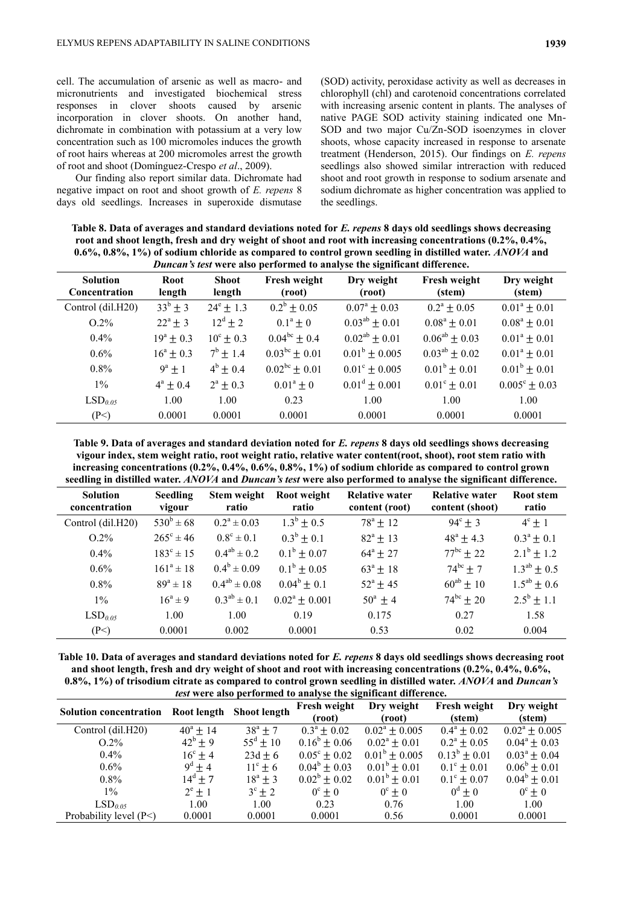cell. The accumulation of arsenic as well as macro- and micronutrients and investigated biochemical stress responses in clover shoots caused by arsenic incorporation in clover shoots. On another hand, dichromate in combination with potassium at a very low concentration such as 100 micromoles induces the growth of root hairs whereas at 200 micromoles arrest the growth of root and shoot (Domínguez-Crespo *et al*., 2009).

Our finding also report similar data. Dichromate had negative impact on root and shoot growth of *E. repens* 8 days old seedlings. Increases in superoxide dismutase (SOD) activity, peroxidase activity as well as decreases in chlorophyll (chl) and carotenoid concentrations correlated with increasing arsenic content in plants. The analyses of native PAGE SOD activity staining indicated one Mn-SOD and two major Cu/Zn-SOD isoenzymes in clover shoots, whose capacity increased in response to arsenate treatment (Henderson, 2015). Our findings on *E. repens* seedlings also showed similar intreraction with reduced shoot and root growth in response to sodium arsenate and sodium dichromate as higher concentration was applied to the seedlings.

**Table 8. Data of averages and standard deviations noted for** *E. repens* **8 days old seedlings shows decreasing root and shoot length, fresh and dry weight of shoot and root with increasing concentrations (0.2%, 0.4%, 0.6%, 0.8%, 1%) of sodium chloride as compared to control grown seedling in distilled water.** *ANOVA* **and**  *Duncan's test* **were also performed to analyse the significant difference.**

|                                  |                      |                        |                        | <i>Duncan s lest</i> were also performed to analyse the significant unference. |                         |                          |
|----------------------------------|----------------------|------------------------|------------------------|--------------------------------------------------------------------------------|-------------------------|--------------------------|
| <b>Solution</b><br>Concentration | Root<br>length       | <b>Shoot</b><br>length | Fresh weight<br>(root) | Dry weight<br>(root)                                                           | Fresh weight<br>(stem)  | Dry weight<br>(stem)     |
| Control (dil.H20)                | $33^{b} \pm 3$       | $24^{\circ} \pm 1.3$   | $0.2^b \pm 0.05$       | $0.07^{\circ} \pm 0.03$                                                        | $0.2^{\rm a} \pm 0.05$  | $0.01^a \pm 0.01$        |
| $O.2\%$                          | $22^{\circ}$ + 3     | $12^d \pm 2$           | $0.1^a \pm 0$          | $0.03^{ab} \pm 0.01$                                                           | $0.08^a \pm 0.01$       | $0.08^a \pm 0.01$        |
| $0.4\%$                          | $19^a \pm 0.3$       | $10^{\circ} \pm 0.3$   | $0.04^{bc} \pm 0.4$    | $0.02^{ab} \pm 0.01$                                                           | $0.06^{ab} \pm 0.03$    | $0.01^a \pm 0.01$        |
| $0.6\%$                          | $16^{\circ} \pm 0.3$ | $7^{\rm b}$ ± 1.4      | $0.03^{bc} \pm 0.01$   | $0.01^b \pm 0.005$                                                             | $0.03^{ab} \pm 0.02$    | $0.01^a \pm 0.01$        |
| $0.8\%$                          | $9^a \pm 1$          | $4^{\rm b} \pm 0.4$    | $0.02^{bc} \pm 0.01$   | $0.01^{\circ} \pm 0.005$                                                       | $0.01^b \pm 0.01$       | $0.01^b \pm 0.01$        |
| $1\%$                            | $4^a \pm 0.4$        | $2^a \pm 0.3$          | $0.01^a \pm 0$         | $0.01^d \pm 0.001$                                                             | $0.01^{\circ} \pm 0.01$ | $0.005^{\circ} \pm 0.03$ |
| LSD <sub>0.05</sub>              | 1.00                 | 1.00                   | 0.23                   | 1.00                                                                           | 1.00                    | 1.00                     |
| (P<)                             | 0.0001               | 0.0001                 | 0.0001                 | 0.0001                                                                         | 0.0001                  | 0.0001                   |

**Table 9. Data of averages and standard deviation noted for** *E. repens* **8 days old seedlings shows decreasing vigour index, stem weight ratio, root weight ratio, relative water content(root, shoot), root stem ratio with increasing concentrations (0.2%, 0.4%, 0.6%, 0.8%, 1%) of sodium chloride as compared to control grown seedling in distilled water.** *ANOVA* **and** *Duncan's test* **were also performed to analyse the significant difference.**

| <b>Solution</b><br>concentration | <b>Seedling</b><br>vigour | Stem weight<br>ratio  | Root weight<br>ratio   | <b>Relative water</b><br>content (root) | <b>Relative water</b><br>content (shoot) | <b>Root</b> stem<br>ratio |
|----------------------------------|---------------------------|-----------------------|------------------------|-----------------------------------------|------------------------------------------|---------------------------|
| Control (dil.H20)                | $530^{b} \pm 68$          | $0.2^a \pm 0.03$      | $1.3^{\rm b} \pm 0.5$  | $78^{\circ} \pm 12$                     | $94^{\circ} \pm 3$                       | $4^{\circ} \pm 1$         |
| $O.2\%$                          | $265^{\circ} \pm 46$      | $0.8^{\circ} \pm 0.1$ | $0.3^b \pm 0.1$        | $82^{\circ} \pm 13$                     | $48^{\circ} \pm 4.3$                     | $0.3^a \pm 0.1$           |
| $0.4\%$                          | $183^{\circ} \pm 15$      | $0.4^{ab} \pm 0.2$    | $0.1^{\rm b} \pm 0.07$ | $64^{\circ}$ ± 27                       | $77^{bc}$ + 22                           | $2.1^{\rm b} \pm 1.2$     |
| $0.6\%$                          | $161^a \pm 18$            | $0.4^b \pm 0.09$      | $0.1^{\rm b} \pm 0.05$ | $63^{\circ} \pm 18$                     | $74^{bc}$ + 7                            | $1.3^{ab}$ + 0.5          |
| $0.8\%$                          | $89^a \pm 18$             | $0.4^{ab} \pm 0.08$   | $0.04^b \pm 0.1$       | $52^{\circ}$ ± 45                       | $60^{ab} \pm 10$                         | $1.5^{ab} \pm 0.6$        |
| $1\%$                            | $16^a \pm 9$              | $0.3^{ab} \pm 0.1$    | $0.02^a \pm 0.001$     | $50^{\circ} \pm 4$                      | $74^{bc}$ + 20                           | $2.5^{\rm b} \pm 1.1$     |
| LSD <sub>0.05</sub>              | 1.00                      | 1.00                  | 0.19                   | 0.175                                   | 0.27                                     | 1.58                      |
| (P<)                             | 0.0001                    | 0.002                 | 0.0001                 | 0.53                                    | 0.02                                     | 0.004                     |

**Table 10. Data of averages and standard deviations noted for** *E. repens* **8 days old seedlings shows decreasing root and shoot length, fresh and dry weight of shoot and root with increasing concentrations (0.2%, 0.4%, 0.6%, 0.8%, 1%) of trisodium citrate as compared to control grown seedling in distilled water.** *ANOVA* **and** *Duncan's test* **were also performed to analyse the significant difference.**

| <b>Solution concentration</b> | Root length        | <b>Shoot length</b> | <b>Fresh weight</b>     | Dry weight               | Fresh weight           | Dry weight               |
|-------------------------------|--------------------|---------------------|-------------------------|--------------------------|------------------------|--------------------------|
|                               |                    |                     | (root)                  | (root)                   | (stem)                 | (stem)                   |
| Control (dil.H20)             | $40^{\circ}$ + 14  | $38^{\circ} \pm 7$  | $0.3^{\circ} \pm 0.02$  | $0.02^{\circ} \pm 0.005$ | $0.4^{\circ} \pm 0.02$ | $0.02^{\circ} \pm 0.005$ |
| $O.2\%$                       | $42^b \pm 9$       | $55^{\rm d} \pm 10$ | $0.16^b \pm 0.06$       | $0.02^a \pm 0.01$        | $0.2^{\circ} \pm 0.05$ | $0.04^a \pm 0.03$        |
| $0.4\%$                       | $16^{\circ} \pm 4$ | $23d \pm 6$         | $0.05^{\circ} \pm 0.02$ | $0.01^{\rm b} \pm 0.005$ | $0.13^b \pm 0.01$      | $0.03^{\circ} \pm 0.04$  |
| $0.6\%$                       | $9^d \pm 4$        | $11^{\circ}$ + 6    | $0.04^b \pm 0.03$       | $0.01^{\rm b} \pm 0.01$  | $0.1^{\circ} \pm 0.01$ | $0.06^{\rm b} \pm 0.01$  |
| $0.8\%$                       | $14^d \pm 7$       | $18^a \pm 3$        | $0.02^b \pm 0.02$       | $0.01^{\circ} \pm 0.01$  | $0.1^{\circ} \pm 0.07$ | $0.04^{\circ} \pm 0.01$  |
| $1\%$                         | $2^e \pm 1$        | $3^{\circ} \pm 2$   | $0^{\circ} \pm 0$       | $0^{\circ} \pm 0$        | $0^d \pm 0$            | $0^{\circ} \pm 0$        |
| LSD <sub>0.05</sub>           | 1.00               | 1.00                | 0.23                    | 0.76                     | 1.00                   | 1.00                     |
| Probability level (P<)        | 0.0001             | 0.0001              | 0.0001                  | 0.56                     | 0.0001                 | 0.0001                   |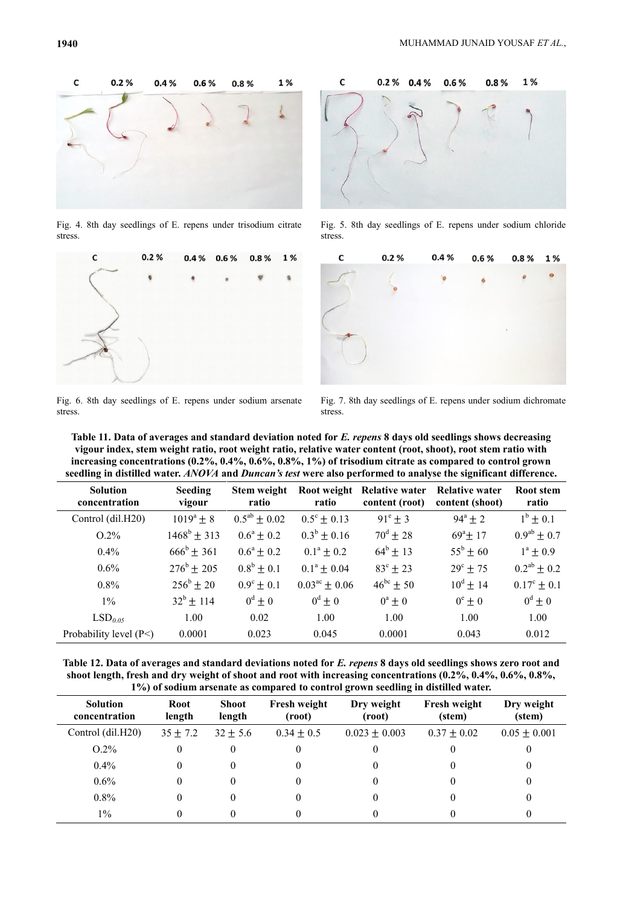

Fig. 4. 8th day seedlings of E. repens under trisodium citrate stress.



Fig. 6. 8th day seedlings of E. repens under sodium arsenate stress.



Fig. 5. 8th day seedlings of E. repens under sodium chloride stress.



Fig. 7. 8th day seedlings of E. repens under sodium dichromate stress.

| Table 11. Data of averages and standard deviation noted for E. repens 8 days old seedlings shows decreasing     |
|-----------------------------------------------------------------------------------------------------------------|
| vigour index, stem weight ratio, root weight ratio, relative water content (root, shoot), root stem ratio with  |
| increasing concentrations $(0.2\%, 0.4\%, 0.6\%, 0.8\%, 1\%)$ of trisodium citrate as compared to control grown |
| seedling in distilled water. ANOVA and Duncan's test were also performed to analyse the significant difference. |

| <b>Solution</b><br>concentration | <b>Seeding</b><br>vigour | Stem weight<br>ratio  | Root weight<br>ratio        | Relative water<br>content (root) | <b>Relative water</b><br>content (shoot) | <b>Root stem</b><br>ratio |
|----------------------------------|--------------------------|-----------------------|-----------------------------|----------------------------------|------------------------------------------|---------------------------|
| Control (dil.H20)                | $1019^a \pm 8$           | $0.5^{ab} \pm 0.02$   | $0.5^{\circ} \pm 0.13$      | $91^{\circ} \pm 3$               | $94^a \pm 2$                             | $1^{\rm b} \pm 0.1$       |
| $O.2\%$                          | $1468^b \pm 313$         | $0.6^{\rm a} \pm 0.2$ | $0.3^b \pm 0.16$            | $70^{\rm d}$ ± 28                | $69^{\circ}$ ± 17                        | $0.9^{ab} \pm 0.7$        |
| $0.4\%$                          | $666^{\rm b} \pm 361$    | $0.6^{\rm a} \pm 0.2$ | $0.1^{\circ} \pm 0.2$       | $64^{\rm b} \pm 13$              | $55^{\rm b}$ ± 60                        | $1^a \pm 0.9$             |
| $0.6\%$                          | $276^{\rm b}$ + 205      | $0.8^b \pm 0.1$       | $0.1^a \pm 0.04$            | $83^{\circ}$ ± 23                | $29^{\circ}$ ± 75                        | $0.2^{ab} \pm 0.2$        |
| $0.8\%$                          | $256^{\rm b} \pm 20$     | $0.9^{\circ} \pm 0.1$ | $0.03^{\text{ac}} \pm 0.06$ | $46^{bc}$ ± 50                   | $10^d \pm 14$                            | $0.17^{\circ} \pm 0.1$    |
| $1\%$                            | $32^b \pm 114$           | $0^d \pm 0$           | $0^d \pm 0$                 | $0^a \pm 0$                      | $0^e \pm 0$                              | $0^d \pm 0$               |
| LSD <sub>0.05</sub>              | 1.00                     | 0.02                  | 1.00                        | 1.00                             | 1.00                                     | 1.00                      |
| Probability level $(P<)$         | 0.0001                   | 0.023                 | 0.045                       | 0.0001                           | 0.043                                    | 0.012                     |

**Table 12. Data of averages and standard deviations noted for** *E. repens* **8 days old seedlings shows zero root and shoot length, fresh and dry weight of shoot and root with increasing concentrations (0.2%, 0.4%, 0.6%, 0.8%, 1%) of sodium arsenate as compared to control grown seedling in distilled water.**

| <b>Solution</b><br>concentration | <b>Root</b><br>length | <b>Shoot</b><br>length | <b>Fresh weight</b><br>(root) | Dry weight<br>(root) | <b>Fresh weight</b><br>(stem) | Dry weight<br>(stem) |
|----------------------------------|-----------------------|------------------------|-------------------------------|----------------------|-------------------------------|----------------------|
| Control (dil.H20)                | $35 \pm 7.2$          | $32 \pm 5.6$           | $0.34 \pm 0.5$                | $0.023 \pm 0.003$    | $0.37 \pm 0.02$               | $0.05 \pm 0.001$     |
| $O.2\%$                          |                       |                        |                               |                      |                               |                      |
| $0.4\%$                          |                       |                        |                               |                      | 0                             |                      |
| $0.6\%$                          | $\theta$              |                        | $\theta$                      |                      | 0                             |                      |
| $0.8\%$                          |                       |                        |                               |                      |                               |                      |
| $1\%$                            |                       |                        |                               |                      |                               |                      |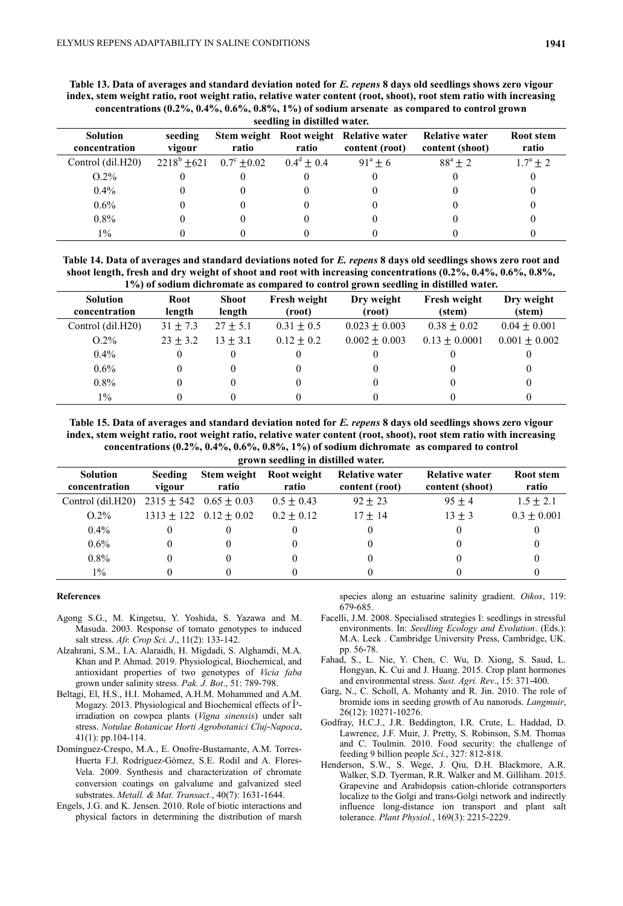**Table 13. Data of averages and standard deviation noted for** *E. repens* **8 days old seedlings shows zero vigour index, stem weight ratio, root weight ratio, relative water content (root, shoot), root stem ratio with increasing concentrations (0.2%, 0.4%, 0.6%, 0.8%, 1%) of sodium arsenate as compared to control grown seedling in distilled water.**

| seeding in distinct water.       |                   |                                |                       |                                                          |                                   |                     |
|----------------------------------|-------------------|--------------------------------|-----------------------|----------------------------------------------------------|-----------------------------------|---------------------|
| <b>Solution</b><br>concentration | seeding<br>vigour | ratio                          | ratio                 | Stem weight Root weight Relative water<br>content (root) | Relative water<br>content (shoot) | Root stem<br>ratio  |
| Control (dil.H20)                |                   | $2218^{\circ}$ +621 0.7° +0.02 | $0.4^{\circ} \pm 0.4$ | $91^{\circ} + 6$                                         | $88^{\circ} \pm 2$                | $1.7^{\circ} \pm 2$ |
| $O.2\%$                          |                   |                                |                       |                                                          |                                   |                     |
| $0.4\%$                          |                   |                                |                       |                                                          |                                   |                     |
| $0.6\%$                          |                   |                                |                       |                                                          |                                   |                     |
| $0.8\%$                          |                   |                                |                       |                                                          |                                   |                     |
| $1\%$                            |                   |                                |                       |                                                          |                                   |                     |

**Table 14. Data of averages and standard deviations noted for** *E. repens* **8 days old seedlings shows zero root and shoot length, fresh and dry weight of shoot and root with increasing concentrations (0.2%, 0.4%, 0.6%, 0.8%, 1%) of sodium dichromate as compared to control grown seedling in distilled water.**

| T 70) of sourain urent omate as compared to control grown securing in uistincu water. |                        |                               |                      |                               |                      |  |
|---------------------------------------------------------------------------------------|------------------------|-------------------------------|----------------------|-------------------------------|----------------------|--|
| Root<br>length                                                                        | <b>Shoot</b><br>length | <b>Fresh weight</b><br>(root) | Dry weight<br>(root) | <b>Fresh weight</b><br>(stem) | Dry weight<br>(stem) |  |
| $31 \pm 7.3$                                                                          | $27 + 5.1$             | $0.31 \pm 0.5$                | $0.023 \pm 0.003$    | $0.38 \pm 0.02$               | $0.04 \pm 0.001$     |  |
| $23 \pm 3.2$                                                                          | $13 + 3.1$             | $0.12 + 0.2$                  | $0.002 \pm 0.003$    | $0.13 + 0.0001$               | $0.001 \pm 0.002$    |  |
| $^{(1)}$                                                                              | $_{0}$                 |                               |                      |                               |                      |  |
| 0                                                                                     | $_{0}$                 |                               |                      | O                             |                      |  |
| 0                                                                                     | 0                      |                               |                      | 0                             |                      |  |
|                                                                                       |                        |                               |                      |                               |                      |  |
|                                                                                       |                        |                               |                      |                               |                      |  |

**Table 15. Data of averages and standard deviation noted for** *E. repens* **8 days old seedlings shows zero vigour index, stem weight ratio, root weight ratio, relative water content (root, shoot), root stem ratio with increasing concentrations (0.2%, 0.4%, 0.6%, 0.8%, 1%) of sodium dichromate as compared to control grown seedling in distilled water.**

| $\sum_{i=1}^{n}$                 |                          |                                |                                  |                                         |                                          |                    |  |  |
|----------------------------------|--------------------------|--------------------------------|----------------------------------|-----------------------------------------|------------------------------------------|--------------------|--|--|
| <b>Solution</b><br>concentration | <b>Seeding</b><br>vigour | ratio                          | Stem weight Root weight<br>ratio | <b>Relative water</b><br>content (root) | <b>Relative water</b><br>content (shoot) | Root stem<br>ratio |  |  |
| Control (dil.H20)                |                          | $2315 \pm 542$ 0.65 $\pm$ 0.03 | $0.5 \pm 0.43$                   | $92 + 23$                               | $95 + 4$                                 | $1.5 \pm 2.1$      |  |  |
| $O.2\%$                          |                          | $1313 \pm 122$ $0.12 \pm 0.02$ | $0.2 + 0.12$                     | $17 + 14$                               | $13 \pm 3$                               | $0.3 \pm 0.001$    |  |  |
| $0.4\%$                          |                          |                                |                                  |                                         |                                          |                    |  |  |
| $0.6\%$                          |                          |                                |                                  |                                         |                                          |                    |  |  |
| $0.8\%$                          |                          |                                |                                  |                                         |                                          |                    |  |  |
| $1\%$                            |                          |                                |                                  |                                         |                                          |                    |  |  |

#### **References**

- Agong S.G., M. Kingetsu, Y. Yoshida, S. Yazawa and M. Masuda. 2003. Response of tomato genotypes to induced salt stress. *Afr. Crop Sci. J*., 11(2): 133-142.
- Alzahrani, S.M., I.A. Alaraidh, H. Migdadi, S. Alghamdi, M.A. Khan and P. Ahmad. 2019. Physiological, Biochemical, and antioxidant properties of two genotypes of *Vicia faba* grown under salinity stress. *Pak. J. Bot*., 51: 789-798.
- Beltagi, El, H.S., H.I. Mohamed, A.H.M. Mohammed and A.M. Mogazy. 2013. Physiological and Biochemical effects of  $\hat{I}^3$ irradiation on cowpea plants (*Vigna sinensis*) under salt stress. *Notulae Botanicae Horti Agrobotanici Cluj-Napoca*, 41(1): pp.104-114.
- Domínguez-Crespo, M.A., E. Onofre-Bustamante, A.M. Torres-Huerta F.J. Rodríguez-Gómez, S.E. Rodil and A. Flores-Vela. 2009. Synthesis and characterization of chromate conversion coatings on galvalume and galvanized steel substrates. *Metall. & Mat. Transact.*, 40(7): 1631-1644.
- Engels, J.G. and K. Jensen. 2010. Role of biotic interactions and physical factors in determining the distribution of marsh

species along an estuarine salinity gradient. *Oikos*, 119: 679-685.

- Facelli, J.M. 2008. Specialised strategies I: seedlings in stressful environments. In: *Seedling Ecology and Evolution*. (Eds.): M.A. Leck . Cambridge University Press, Cambridge, UK. pp. 56-78.
- Fahad, S., L. Nie, Y. Chen, C. Wu, D. Xiong, S. Saud, L. Hongyan, K. Cui and J. Huang. 2015. Crop plant hormones and environmental stress. *Sust. Agri. Rev*., 15: 371-400.
- Garg, N., C. Scholl, A. Mohanty and R. Jin. 2010. The role of bromide ions in seeding growth of Au nanorods. *Langmuir*, 26(12): 10271-10276.
- Godfray, H.C.J., J.R. Beddington, I.R. Crute, L. Haddad, D. Lawrence, J.F. Muir, J. Pretty, S. Robinson, S.M. Thomas and C. Toulmin. 2010. Food security: the challenge of feeding 9 billion people *Sci.*, 327: 812-818.
- Henderson, S.W., S. Wege, J. Qiu, D.H. Blackmore, A.R. Walker, S.D. Tyerman, R.R. Walker and M. Gilliham. 2015. Grapevine and Arabidopsis cation-chloride cotransporters localize to the Golgi and trans-Golgi network and indirectly influence long-distance ion transport and plant salt tolerance. *Plant Physiol.*, 169(3): 2215-2229.